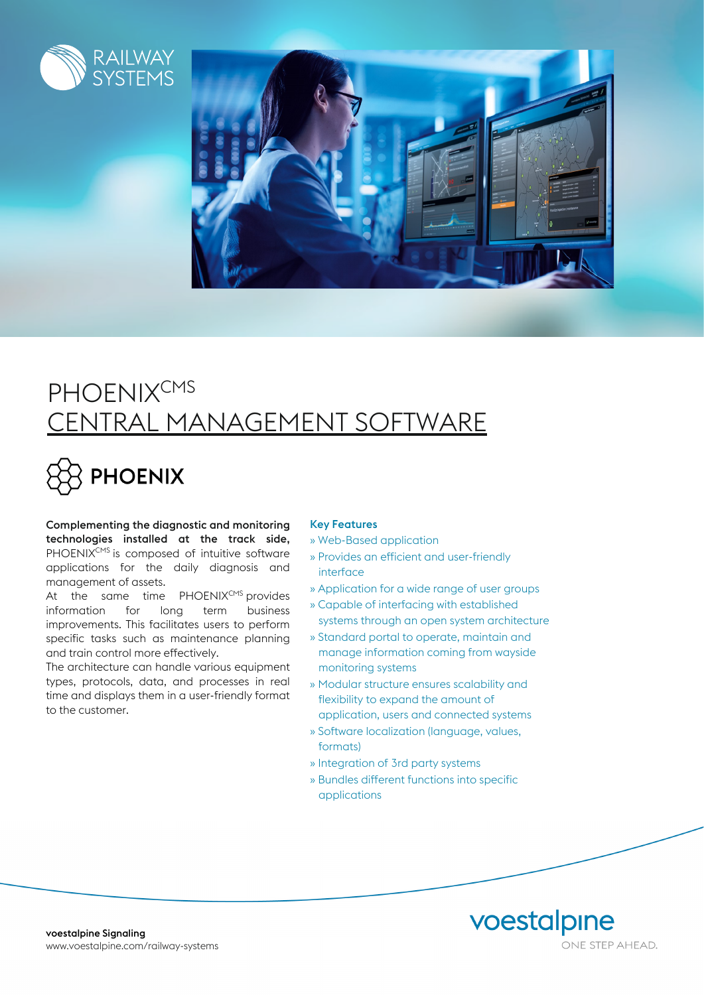



## **PHOENIXCMS** CENTRAL MANAGEMENT SOFTWARE

# FHOENIX

Complementing the diagnostic and monitoring technologies installed at the track side, PHOENIX<sup>CMS</sup> is composed of intuitive software applications for the daily diagnosis and management of assets.

At the same time  $PHOENIX<sup>CMS</sup>$  provides information for long term business improvements. This facilitates users to perform specific tasks such as maintenance planning and train control more effectively.

The architecture can handle various equipment types, protocols, data, and processes in real time and displays them in a user-friendly format to the customer.

#### Key Features

- » Web-Based application
- » Provides an efficient and user-friendly interface
- » Application for a wide range of user groups
- » Capable of interfacing with established systems through an open system architecture
- » Standard portal to operate, maintain and manage information coming from wayside monitoring systems
- » Modular structure ensures scalability and flexibility to expand the amount of application, users and connected systems
- » Software localization (language, values, formats)
- » Integration of 3rd party systems
- » Bundles different functions into specific applications